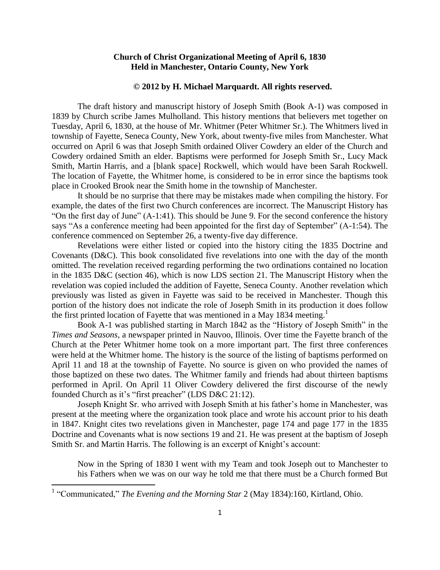## **Church of Christ Organizational Meeting of April 6, 1830 Held in Manchester, Ontario County, New York**

#### **© 2012 by H. Michael Marquardt. All rights reserved.**

The draft history and manuscript history of Joseph Smith (Book A-1) was composed in 1839 by Church scribe James Mulholland. This history mentions that believers met together on Tuesday, April 6, 1830, at the house of Mr. Whitmer (Peter Whitmer Sr.). The Whitmers lived in township of Fayette, Seneca County, New York, about twenty-five miles from Manchester. What occurred on April 6 was that Joseph Smith ordained Oliver Cowdery an elder of the Church and Cowdery ordained Smith an elder. Baptisms were performed for Joseph Smith Sr., Lucy Mack Smith, Martin Harris, and a [blank space] Rockwell, which would have been Sarah Rockwell. The location of Fayette, the Whitmer home, is considered to be in error since the baptisms took place in Crooked Brook near the Smith home in the township of Manchester.

It should be no surprise that there may be mistakes made when compiling the history. For example, the dates of the first two Church conferences are incorrect. The Manuscript History has "On the first day of June" (A-1:41). This should be June 9. For the second conference the history says "As a conference meeting had been appointed for the first day of September" (A-1:54). The conference commenced on September 26, a twenty-five day difference.

Revelations were either listed or copied into the history citing the 1835 Doctrine and Covenants (D&C). This book consolidated five revelations into one with the day of the month omitted. The revelation received regarding performing the two ordinations contained no location in the 1835 D&C (section 46), which is now LDS section 21. The Manuscript History when the revelation was copied included the addition of Fayette, Seneca County. Another revelation which previously was listed as given in Fayette was said to be received in Manchester. Though this portion of the history does not indicate the role of Joseph Smith in its production it does follow the first printed location of Fayette that was mentioned in a May 1834 meeting.<sup>1</sup>

Book A-1 was published starting in March 1842 as the "History of Joseph Smith" in the *Times and Seasons*, a newspaper printed in Nauvoo, Illinois. Over time the Fayette branch of the Church at the Peter Whitmer home took on a more important part. The first three conferences were held at the Whitmer home. The history is the source of the listing of baptisms performed on April 11 and 18 at the township of Fayette. No source is given on who provided the names of those baptized on these two dates. The Whitmer family and friends had about thirteen baptisms performed in April. On April 11 Oliver Cowdery delivered the first discourse of the newly founded Church as it's "first preacher" (LDS D&C 21:12).

Joseph Knight Sr. who arrived with Joseph Smith at his father's home in Manchester, was present at the meeting where the organization took place and wrote his account prior to his death in 1847. Knight cites two revelations given in Manchester, page 174 and page 177 in the 1835 Doctrine and Covenants what is now sections 19 and 21. He was present at the baptism of Joseph Smith Sr. and Martin Harris. The following is an excerpt of Knight's account:

Now in the Spring of 1830 I went with my Team and took Joseph out to Manchester to his Fathers when we was on our way he told me that there must be a Church formed But

 $\overline{\phantom{a}}$ 

<sup>&</sup>lt;sup>1</sup> "Communicated," *The Evening and the Morning Star* 2 (May 1834):160, Kirtland, Ohio.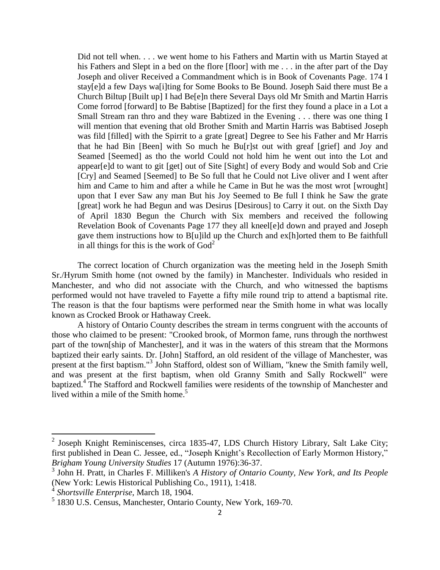Did not tell when. . . . we went home to his Fathers and Martin with us Martin Stayed at his Fathers and Slept in a bed on the flore [floor] with me... in the after part of the Day Joseph and oliver Received a Commandment which is in Book of Covenants Page. 174 I stay[e]d a few Days wa[i]ting for Some Books to Be Bound. Joseph Said there must Be a Church Biltup [Built up] I had Be[e]n there Several Days old Mr Smith and Martin Harris Come forrod [forward] to Be Babtise [Baptized] for the first they found a place in a Lot a Small Stream ran thro and they ware Babtized in the Evening . . . there was one thing I will mention that evening that old Brother Smith and Martin Harris was Babtised Joseph was fild [filled] with the Spirrit to a grate [great] Degree to See his Father and Mr Harris that he had Bin [Been] with So much he Bu[r]st out with greaf [grief] and Joy and Seamed [Seemed] as tho the world Could not hold him he went out into the Lot and appear[e]d to want to git [get] out of Site [Sight] of every Body and would Sob and Crie [Cry] and Seamed [Seemed] to Be So full that he Could not Live oliver and I went after him and Came to him and after a while he Came in But he was the most wrot [wrought] upon that I ever Saw any man But his Joy Seemed to Be full I think he Saw the grate [great] work he had Begun and was Desirus [Desirous] to Carry it out. on the Sixth Day of April 1830 Begun the Church with Six members and received the following Revelation Book of Covenants Page 177 they all kneel[e]d down and prayed and Joseph gave them instructions how to B[u]ild up the Church and ex[h]orted them to Be faithfull in all things for this is the work of  $God<sup>2</sup>$ 

The correct location of Church organization was the meeting held in the Joseph Smith Sr./Hyrum Smith home (not owned by the family) in Manchester. Individuals who resided in Manchester, and who did not associate with the Church, and who witnessed the baptisms performed would not have traveled to Fayette a fifty mile round trip to attend a baptismal rite. The reason is that the four baptisms were performed near the Smith home in what was locally known as Crocked Brook or Hathaway Creek.

A history of Ontario County describes the stream in terms congruent with the accounts of those who claimed to be present: "Crooked brook, of Mormon fame, runs through the northwest part of the town[ship of Manchester], and it was in the waters of this stream that the Mormons baptized their early saints. Dr. [John] Stafford, an old resident of the village of Manchester, was present at the first baptism."<sup>3</sup> John Stafford, oldest son of William, "knew the Smith family well, and was present at the first baptism, when old Granny Smith and Sally Rockwell" were baptized.<sup>4</sup> The Stafford and Rockwell families were residents of the township of Manchester and lived within a mile of the Smith home.<sup>5</sup>

<sup>&</sup>lt;sup>2</sup> Joseph Knight Reminiscenses, circa 1835-47, LDS Church History Library, Salt Lake City; first published in Dean C. Jessee, ed., "Joseph Knight's Recollection of Early Mormon History," *Brigham Young University Studies* 17 (Autumn 1976):36-37.

<sup>3</sup> John H. Pratt, in Charles F. Milliken's *A History of Ontario County, New York, and Its People* (New York: Lewis Historical Publishing Co., 1911), 1:418.

<sup>4</sup> *Shortsville Enterprise*, March 18, 1904.

<sup>5</sup> 1830 U.S. Census, Manchester, Ontario County, New York, 169-70.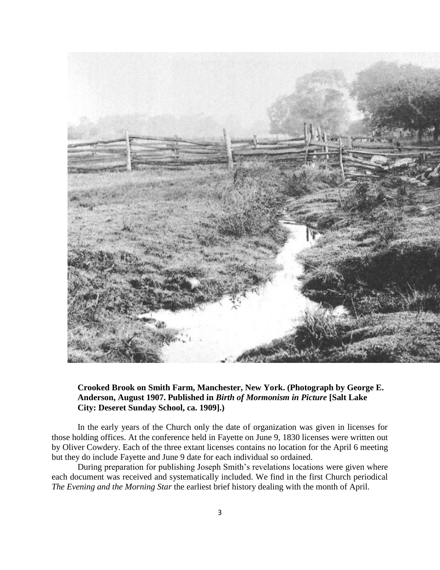

## **Crooked Brook on Smith Farm, Manchester, New York. (Photograph by George E. Anderson, August 1907. Published in** *Birth of Mormonism in Picture* **[Salt Lake City: Deseret Sunday School, ca. 1909].)**

In the early years of the Church only the date of organization was given in licenses for those holding offices. At the conference held in Fayette on June 9, 1830 licenses were written out by Oliver Cowdery. Each of the three extant licenses contains no location for the April 6 meeting but they do include Fayette and June 9 date for each individual so ordained.

During preparation for publishing Joseph Smith's revelations locations were given where each document was received and systematically included. We find in the first Church periodical *The Evening and the Morning Star* the earliest brief history dealing with the month of April.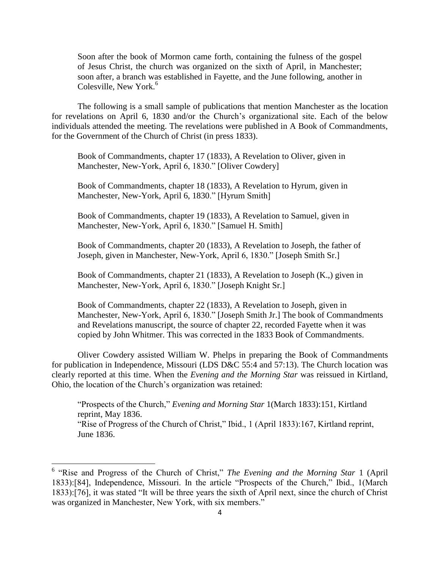Soon after the book of Mormon came forth, containing the fulness of the gospel of Jesus Christ, the church was organized on the sixth of April, in Manchester; soon after, a branch was established in Fayette, and the June following, another in Colesville, New York.<sup>6</sup>

The following is a small sample of publications that mention Manchester as the location for revelations on April 6, 1830 and/or the Church's organizational site. Each of the below individuals attended the meeting. The revelations were published in A Book of Commandments, for the Government of the Church of Christ (in press 1833).

Book of Commandments, chapter 17 (1833), A Revelation to Oliver, given in Manchester, New-York, April 6, 1830." [Oliver Cowdery]

Book of Commandments, chapter 18 (1833), A Revelation to Hyrum, given in Manchester, New-York, April 6, 1830." [Hyrum Smith]

Book of Commandments, chapter 19 (1833), A Revelation to Samuel, given in Manchester, New-York, April 6, 1830." [Samuel H. Smith]

Book of Commandments, chapter 20 (1833), A Revelation to Joseph, the father of Joseph, given in Manchester, New-York, April 6, 1830." [Joseph Smith Sr.]

Book of Commandments, chapter 21 (1833), A Revelation to Joseph (K.,) given in Manchester, New-York, April 6, 1830." [Joseph Knight Sr.]

Book of Commandments, chapter 22 (1833), A Revelation to Joseph, given in Manchester, New-York, April 6, 1830." [Joseph Smith Jr.] The book of Commandments and Revelations manuscript, the source of chapter 22, recorded Fayette when it was copied by John Whitmer. This was corrected in the 1833 Book of Commandments.

Oliver Cowdery assisted William W. Phelps in preparing the Book of Commandments for publication in Independence, Missouri (LDS D&C 55:4 and 57:13). The Church location was clearly reported at this time. When the *Evening and the Morning Star* was reissued in Kirtland, Ohio, the location of the Church's organization was retained:

"Prospects of the Church," *Evening and Morning Star* 1(March 1833):151, Kirtland reprint, May 1836. "Rise of Progress of the Church of Christ," Ibid., 1 (April 1833):167, Kirtland reprint, June 1836.

l

<sup>&</sup>lt;sup>6</sup> "Rise and Progress of the Church of Christ," *The Evening and the Morning Star* 1 (April 1833):[84], Independence, Missouri. In the article "Prospects of the Church," Ibid., 1(March 1833):[76], it was stated "It will be three years the sixth of April next, since the church of Christ was organized in Manchester, New York, with six members."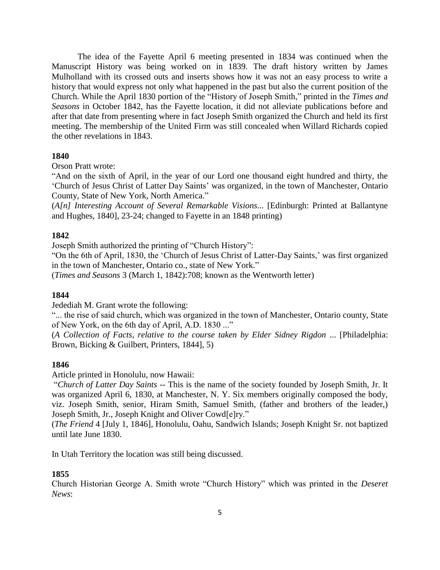The idea of the Fayette April 6 meeting presented in 1834 was continued when the Manuscript History was being worked on in 1839. The draft history written by James Mulholland with its crossed outs and inserts shows how it was not an easy process to write a history that would express not only what happened in the past but also the current position of the Church. While the April 1830 portion of the "History of Joseph Smith," printed in the *Times and Seasons* in October 1842, has the Fayette location, it did not alleviate publications before and after that date from presenting where in fact Joseph Smith organized the Church and held its first meeting. The membership of the United Firm was still concealed when Willard Richards copied the other revelations in 1843.

### **1840**

Orson Pratt wrote:

"And on the sixth of April, in the year of our Lord one thousand eight hundred and thirty, the 'Church of Jesus Christ of Latter Day Saints' was organized, in the town of Manchester, Ontario County, State of New York, North America."

(*A[n] Interesting Account of Several Remarkable Visions*... [Edinburgh: Printed at Ballantyne and Hughes, 1840], 23-24; changed to Fayette in an 1848 printing)

### **1842**

Joseph Smith authorized the printing of "Church History":

"On the 6th of April, 1830, the 'Church of Jesus Christ of Latter-Day Saints,' was first organized in the town of Manchester, Ontario co., state of New York."

(*Times and Seasons* 3 (March 1, 1842):708; known as the Wentworth letter)

#### **1844**

Jedediah M. Grant wrote the following:

"... the rise of said church, which was organized in the town of Manchester, Ontario county, State of New York, on the 6th day of April, A.D. 1830 ..."

(*A Collection of Facts*, *relative to the course taken by Elder Sidney Rigdon* ... [Philadelphia: Brown, Bicking & Guilbert, Printers, 1844], 5)

#### **1846**

Article printed in Honolulu, now Hawaii:

"*Church of Latter Day Saints --* This is the name of the society founded by Joseph Smith, Jr. It was organized April 6, 1830, at Manchester, N. Y. Six members originally composed the body, viz. Joseph Smith, senior, Hiram Smith, Samuel Smith, (father and brothers of the leader,) Joseph Smith, Jr., Joseph Knight and Oliver Cowd[e]ry."

(*The Friend* 4 [July 1, 1846], Honolulu, Oahu, Sandwich Islands; Joseph Knight Sr. not baptized until late June 1830.

In Utah Territory the location was still being discussed.

#### **1855**

Church Historian George A. Smith wrote "Church History" which was printed in the *Deseret News*: